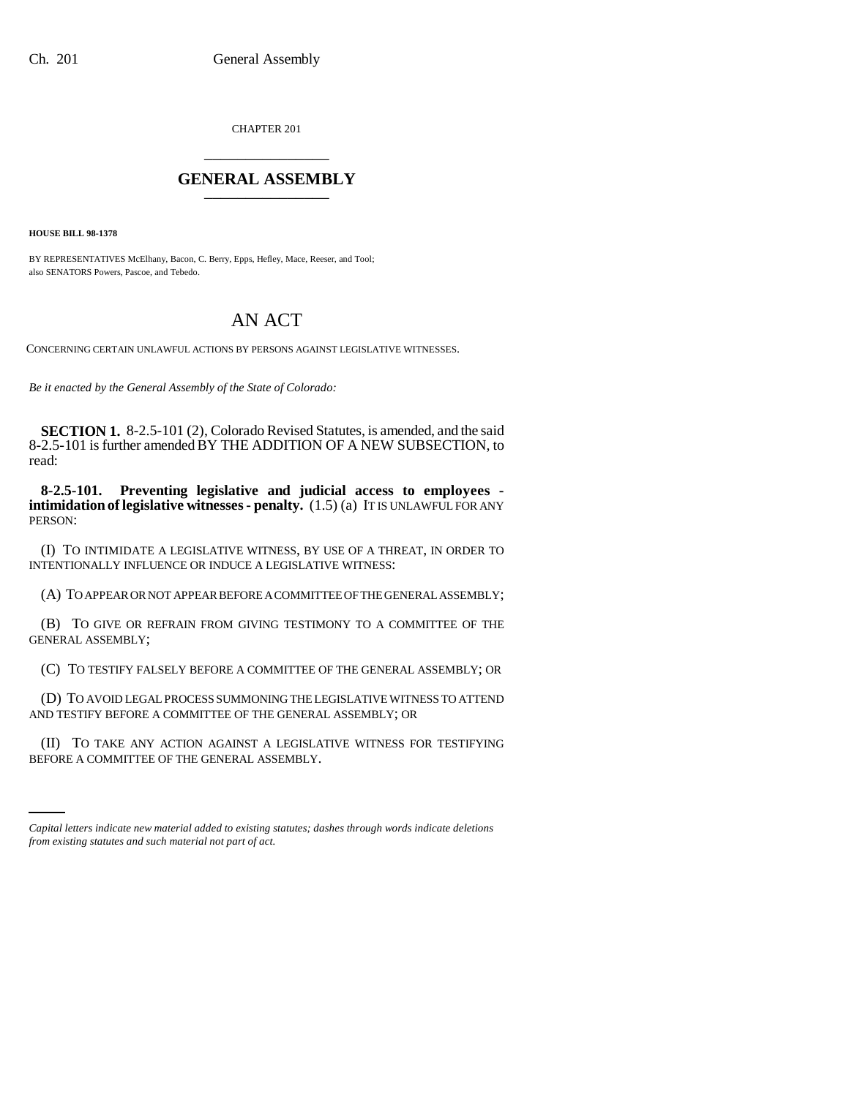CHAPTER 201 \_\_\_\_\_\_\_\_\_\_\_\_\_\_\_

## **GENERAL ASSEMBLY** \_\_\_\_\_\_\_\_\_\_\_\_\_\_\_

**HOUSE BILL 98-1378**

BY REPRESENTATIVES McElhany, Bacon, C. Berry, Epps, Hefley, Mace, Reeser, and Tool; also SENATORS Powers, Pascoe, and Tebedo.

## AN ACT

CONCERNING CERTAIN UNLAWFUL ACTIONS BY PERSONS AGAINST LEGISLATIVE WITNESSES.

*Be it enacted by the General Assembly of the State of Colorado:*

**SECTION 1.** 8-2.5-101 (2), Colorado Revised Statutes, is amended, and the said 8-2.5-101 is further amended BY THE ADDITION OF A NEW SUBSECTION, to read:

**8-2.5-101. Preventing legislative and judicial access to employees intimidation of legislative witnesses - penalty.** (1.5) (a) IT IS UNLAWFUL FOR ANY PERSON:

(I) TO INTIMIDATE A LEGISLATIVE WITNESS, BY USE OF A THREAT, IN ORDER TO INTENTIONALLY INFLUENCE OR INDUCE A LEGISLATIVE WITNESS:

(A) TO APPEAR OR NOT APPEAR BEFORE A COMMITTEE OF THE GENERAL ASSEMBLY;

(B) TO GIVE OR REFRAIN FROM GIVING TESTIMONY TO A COMMITTEE OF THE GENERAL ASSEMBLY;

(C) TO TESTIFY FALSELY BEFORE A COMMITTEE OF THE GENERAL ASSEMBLY; OR

(D) TO AVOID LEGAL PROCESS SUMMONING THE LEGISLATIVE WITNESS TO ATTEND AND TESTIFY BEFORE A COMMITTEE OF THE GENERAL ASSEMBLY; OR

(II) TO TAKE ANY ACTION AGAINST A LEGISLATIVE WITNESS FOR TESTIFYING BEFORE A COMMITTEE OF THE GENERAL ASSEMBLY.

*Capital letters indicate new material added to existing statutes; dashes through words indicate deletions from existing statutes and such material not part of act.*